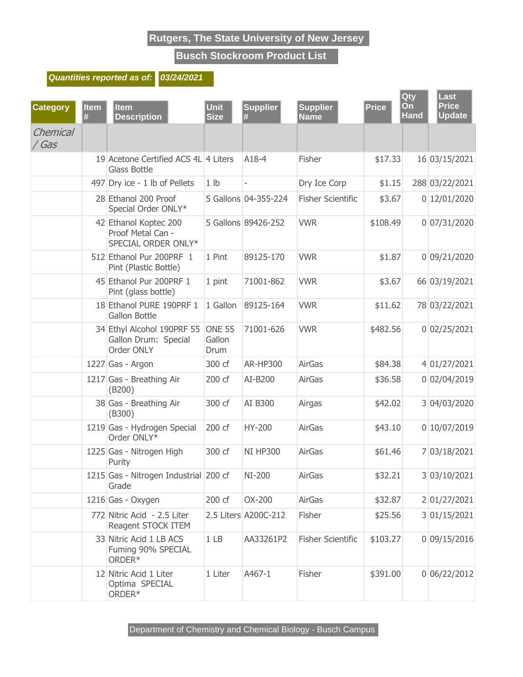**Busch Stockroom Product List**

#### **Quantities reported as of: 03/24/2021**

| <b>Category</b>   | Item<br># | <b>Item</b><br><b>Description</b>                                 | <b>Unit</b><br><b>Size</b>      | <b>Supplier</b><br># | <b>Supplier</b><br><b>Name</b> | <b>Price</b> | Qty<br>On<br><b>Hand</b> | Last<br><b>Price</b><br><b>Update</b> |
|-------------------|-----------|-------------------------------------------------------------------|---------------------------------|----------------------|--------------------------------|--------------|--------------------------|---------------------------------------|
| Chemical<br>/ Gas |           |                                                                   |                                 |                      |                                |              |                          |                                       |
|                   |           | 19 Acetone Certified ACS 4L 4 Liters<br>Glass Bottle              |                                 | A18-4                | Fisher                         | \$17.33      |                          | 16 03/15/2021                         |
|                   |           | 497 Dry ice - 1 lb of Pellets                                     | 1 <sub>lb</sub>                 |                      | Dry Ice Corp                   | \$1.15       |                          | 288 03/22/2021                        |
|                   |           | 28 Ethanol 200 Proof<br>Special Order ONLY*                       |                                 | 5 Gallons 04-355-224 | <b>Fisher Scientific</b>       | \$3.67       |                          | 0 12/01/2020                          |
|                   |           | 42 Ethanol Koptec 200<br>Proof Metal Can -<br>SPECIAL ORDER ONLY* |                                 | 5 Gallons 89426-252  | <b>VWR</b>                     | \$108.49     |                          | 0 07/31/2020                          |
|                   |           | 512 Ethanol Pur 200PRF 1<br>Pint (Plastic Bottle)                 | 1 Pint                          | 89125-170            | <b>VWR</b>                     | \$1.87       |                          | 0 09/21/2020                          |
|                   |           | 45 Ethanol Pur 200PRF 1<br>Pint (glass bottle)                    | 1 pint                          | 71001-862            | <b>VWR</b>                     | \$3.67       |                          | 66 03/19/2021                         |
|                   |           | 18 Ethanol PURE 190PRF 1<br><b>Gallon Bottle</b>                  | 1 Gallon                        | 89125-164            | <b>VWR</b>                     | \$11.62      |                          | 78 03/22/2021                         |
|                   |           | 34 Ethyl Alcohol 190PRF 55<br>Gallon Drum: Special<br>Order ONLY  | <b>ONE 55</b><br>Gallon<br>Drum | 71001-626            | <b>VWR</b>                     | \$482.56     |                          | 0 02/25/2021                          |
|                   |           | 1227 Gas - Argon                                                  | 300 cf                          | <b>AR-HP300</b>      | <b>AirGas</b>                  | \$84.38      |                          | 4 01/27/2021                          |
|                   |           | 1217 Gas - Breathing Air<br>(B200)                                | 200 cf                          | AI-B200              | <b>AirGas</b>                  | \$36.58      |                          | 0 02/04/2019                          |
|                   |           | 38 Gas - Breathing Air<br>(B300)                                  | 300 cf                          | AI B300              | Airgas                         | \$42.02      |                          | 3 04/03/2020                          |
|                   |           | 1219 Gas - Hydrogen Special<br>Order ONLY*                        | 200 cf                          | HY-200               | <b>AirGas</b>                  | \$43.10      |                          | 0 10/07/2019                          |
|                   |           | 1225 Gas - Nitrogen High<br>Purity                                | 300 cf                          | <b>NI HP300</b>      | <b>AirGas</b>                  | \$61.46      |                          | 7 03/18/2021                          |
|                   |           | 1215 Gas - Nitrogen Industrial 200 cf<br>Grade                    |                                 | NI-200               | AirGas                         | \$32.21      |                          | 3 03/10/2021                          |
|                   |           | 1216 Gas - Oxygen                                                 | 200 cf                          | OX-200               | AirGas                         | \$32.87      |                          | 2 01/27/2021                          |
|                   |           | 772 Nitric Acid - 2.5 Liter<br>Reagent STOCK ITEM                 |                                 | 2.5 Liters A200C-212 | Fisher                         | \$25.56      |                          | 3 01/15/2021                          |
|                   |           | 33 Nitric Acid 1 LB ACS<br>Fuming 90% SPECIAL<br>ORDER*           | 1 <sub>LB</sub>                 | AA33261P2            | <b>Fisher Scientific</b>       | \$103.27     |                          | 0 09/15/2016                          |
|                   |           | 12 Nitric Acid 1 Liter<br>Optima SPECIAL<br>ORDER*                | 1 Liter                         | A467-1               | Fisher                         | \$391.00     |                          | 0 06/22/2012                          |

Department of Chemistry and Chemical Biology - Busch Campus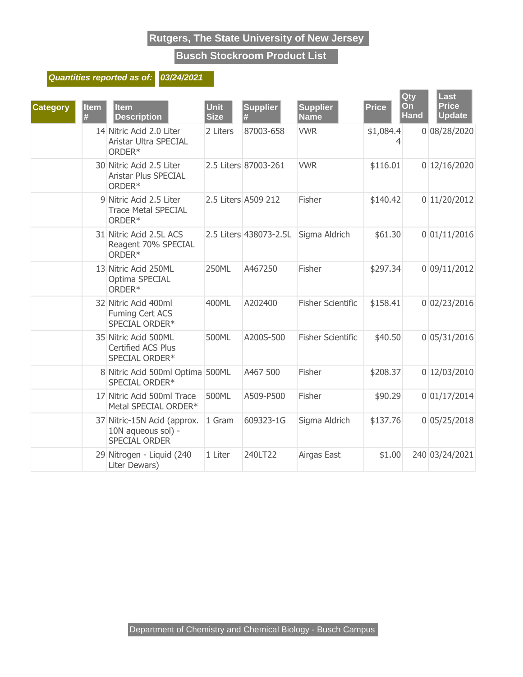**Busch Stockroom Product List**

#### **Quantities reported as of: 03/24/2021**

| <b>Category</b> | <b>Item</b><br># | <b>Item</b><br><b>Description</b>                                   | <b>Unit</b><br><b>Size</b> | <b>Supplier</b>        | <b>Supplier</b><br><b>Name</b> | <b>Price</b> | Qty<br>On<br><b>Hand</b> | Last<br><b>Price</b><br><b>Update</b> |
|-----------------|------------------|---------------------------------------------------------------------|----------------------------|------------------------|--------------------------------|--------------|--------------------------|---------------------------------------|
|                 |                  | 14 Nitric Acid 2.0 Liter<br>Aristar Ultra SPECIAL<br>ORDER*         | 2 Liters                   | 87003-658              | <b>VWR</b>                     | \$1,084.4    |                          | 0 08/28/2020                          |
|                 |                  | 30 Nitric Acid 2.5 Liter<br><b>Aristar Plus SPECIAL</b><br>ORDER*   |                            | 2.5 Liters 87003-261   | <b>VWR</b>                     | \$116.01     |                          | 0 12/16/2020                          |
|                 |                  | 9 Nitric Acid 2.5 Liter<br><b>Trace Metal SPECIAL</b><br>ORDER*     |                            | 2.5 Liters A509 212    | Fisher                         | \$140.42     |                          | 0 11/20/2012                          |
|                 |                  | 31 Nitric Acid 2.5L ACS<br>Reagent 70% SPECIAL<br>ORDER*            |                            | 2.5 Liters 438073-2.5L | Sigma Aldrich                  | \$61.30      |                          | 0 01/11/2016                          |
|                 |                  | 13 Nitric Acid 250ML<br>Optima SPECIAL<br>ORDER*                    | 250ML                      | A467250                | Fisher                         | \$297.34     |                          | 0 09/11/2012                          |
|                 |                  | 32 Nitric Acid 400ml<br><b>Fuming Cert ACS</b><br>SPECIAL ORDER*    | 400ML                      | A202400                | <b>Fisher Scientific</b>       | \$158.41     |                          | 0 02/23/2016                          |
|                 |                  | 35 Nitric Acid 500ML<br><b>Certified ACS Plus</b><br>SPECIAL ORDER* | 500ML                      | A200S-500              | <b>Fisher Scientific</b>       | \$40.50      |                          | 0 05/31/2016                          |
|                 |                  | 8 Nitric Acid 500ml Optima 500ML<br>SPECIAL ORDER*                  |                            | A467 500               | Fisher                         | \$208.37     |                          | 0 12/03/2010                          |
|                 |                  | 17 Nitric Acid 500ml Trace<br>Metal SPECIAL ORDER*                  | 500ML                      | A509-P500              | Fisher                         | \$90.29      |                          | 0 01/17/2014                          |
|                 |                  | 37 Nitric-15N Acid (approx.<br>10N aqueous sol) -<br>SPECIAL ORDER  | 1 Gram                     | 609323-1G              | Sigma Aldrich                  | \$137.76     |                          | 0 05/25/2018                          |
|                 |                  | 29 Nitrogen - Liquid (240<br>Liter Dewars)                          | 1 Liter                    | 240LT22                | Airgas East                    | \$1.00       |                          | 240 03/24/2021                        |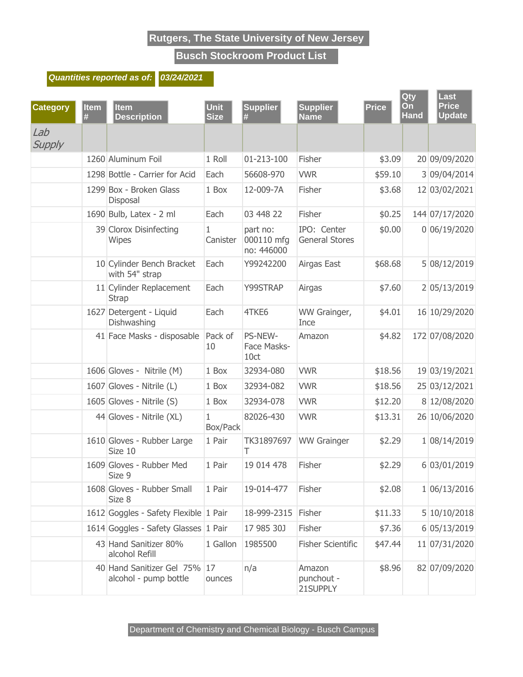**Busch Stockroom Product List**

#### **Quantities reported as of: 03/24/2021**

| <b>Category</b> | <b>Item</b><br>Ħ. | <b>Item</b><br><b>Description</b>                  | <b>Unit</b><br><b>Size</b> | <b>Supplier</b><br>#                 | <b>Supplier</b><br><b>Name</b>       | <b>Price</b> | Qty<br>On<br><b>Hand</b> | Last<br><b>Price</b><br><b>Update</b> |
|-----------------|-------------------|----------------------------------------------------|----------------------------|--------------------------------------|--------------------------------------|--------------|--------------------------|---------------------------------------|
| Lab<br>Supply   |                   |                                                    |                            |                                      |                                      |              |                          |                                       |
|                 |                   | 1260 Aluminum Foil                                 | 1 Roll                     | 01-213-100                           | Fisher                               | \$3.09       |                          | 20 09/09/2020                         |
|                 |                   | 1298 Bottle - Carrier for Acid                     | Each                       | 56608-970                            | <b>VWR</b>                           | \$59.10      |                          | 3 09/04/2014                          |
|                 |                   | 1299 Box - Broken Glass<br>Disposal                | 1 Box                      | 12-009-7A                            | Fisher                               | \$3.68       |                          | 12 03/02/2021                         |
|                 |                   | 1690 Bulb, Latex - 2 ml                            | Each                       | 03 448 22                            | Fisher                               | \$0.25       |                          | 144 07/17/2020                        |
|                 |                   | 39 Clorox Disinfecting<br>Wipes                    | $\mathbf{1}$<br>Canister   | part no:<br>000110 mfg<br>no: 446000 | IPO: Center<br><b>General Stores</b> | \$0.00       |                          | 0 06/19/2020                          |
|                 |                   | 10 Cylinder Bench Bracket<br>with 54" strap        | Each                       | Y99242200                            | Airgas East                          | \$68.68      |                          | 5 08/12/2019                          |
|                 |                   | 11 Cylinder Replacement<br><b>Strap</b>            | Each                       | Y99STRAP                             | Airgas                               | \$7.60       |                          | 2 05/13/2019                          |
|                 |                   | 1627 Detergent - Liquid<br>Dishwashing             | Each                       | 4TKE6                                | WW Grainger,<br>Ince                 | \$4.01       |                          | 16 10/29/2020                         |
|                 |                   | 41 Face Masks - disposable                         | Pack of<br>10              | PS-NEW-<br>Face Masks-<br>10ct       | Amazon                               | \$4.82       |                          | 172 07/08/2020                        |
|                 |                   | 1606 Gloves - Nitrile (M)                          | 1 Box                      | 32934-080                            | <b>VWR</b>                           | \$18.56      |                          | 19 03/19/2021                         |
|                 |                   | 1607 Gloves - Nitrile (L)                          | 1 Box                      | 32934-082                            | <b>VWR</b>                           | \$18.56      |                          | 25 03/12/2021                         |
|                 |                   | 1605 Gloves - Nitrile (S)                          | 1 Box                      | 32934-078                            | <b>VWR</b>                           | \$12.20      |                          | 8 12/08/2020                          |
|                 |                   | 44 Gloves - Nitrile (XL)                           | 1<br>Box/Pack              | 82026-430                            | <b>VWR</b>                           | \$13.31      |                          | 26 10/06/2020                         |
|                 |                   | 1610 Gloves - Rubber Large<br>Size 10              | 1 Pair                     | TK31897697<br>Т                      | <b>WW Grainger</b>                   | \$2.29       |                          | 1 08/14/2019                          |
|                 |                   | 1609 Gloves - Rubber Med<br>Size 9                 | 1 Pair                     | 19 014 478                           | Fisher                               | \$2.29       |                          | 6 03/01/2019                          |
|                 |                   | 1608 Gloves - Rubber Small<br>Size 8               | 1 Pair                     | 19-014-477                           | Fisher                               | \$2.08       |                          | 1 06/13/2016                          |
|                 |                   | 1612 Goggles - Safety Flexible 1 Pair              |                            | 18-999-2315                          | Fisher                               | \$11.33      |                          | 5 10/10/2018                          |
|                 |                   | 1614 Goggles - Safety Glasses 1 Pair               |                            | 17 985 30J                           | Fisher                               | \$7.36       |                          | 6 05/13/2019                          |
|                 |                   | 43 Hand Sanitizer 80%<br>alcohol Refill            | 1 Gallon                   | 1985500                              | <b>Fisher Scientific</b>             | \$47.44      |                          | 11 07/31/2020                         |
|                 |                   | 40 Hand Sanitizer Gel 75%<br>alcohol - pump bottle | 17<br>ounces               | n/a                                  | Amazon<br>punchout -<br>21SUPPLY     | \$8.96       |                          | 82 07/09/2020                         |

Department of Chemistry and Chemical Biology - Busch Campus